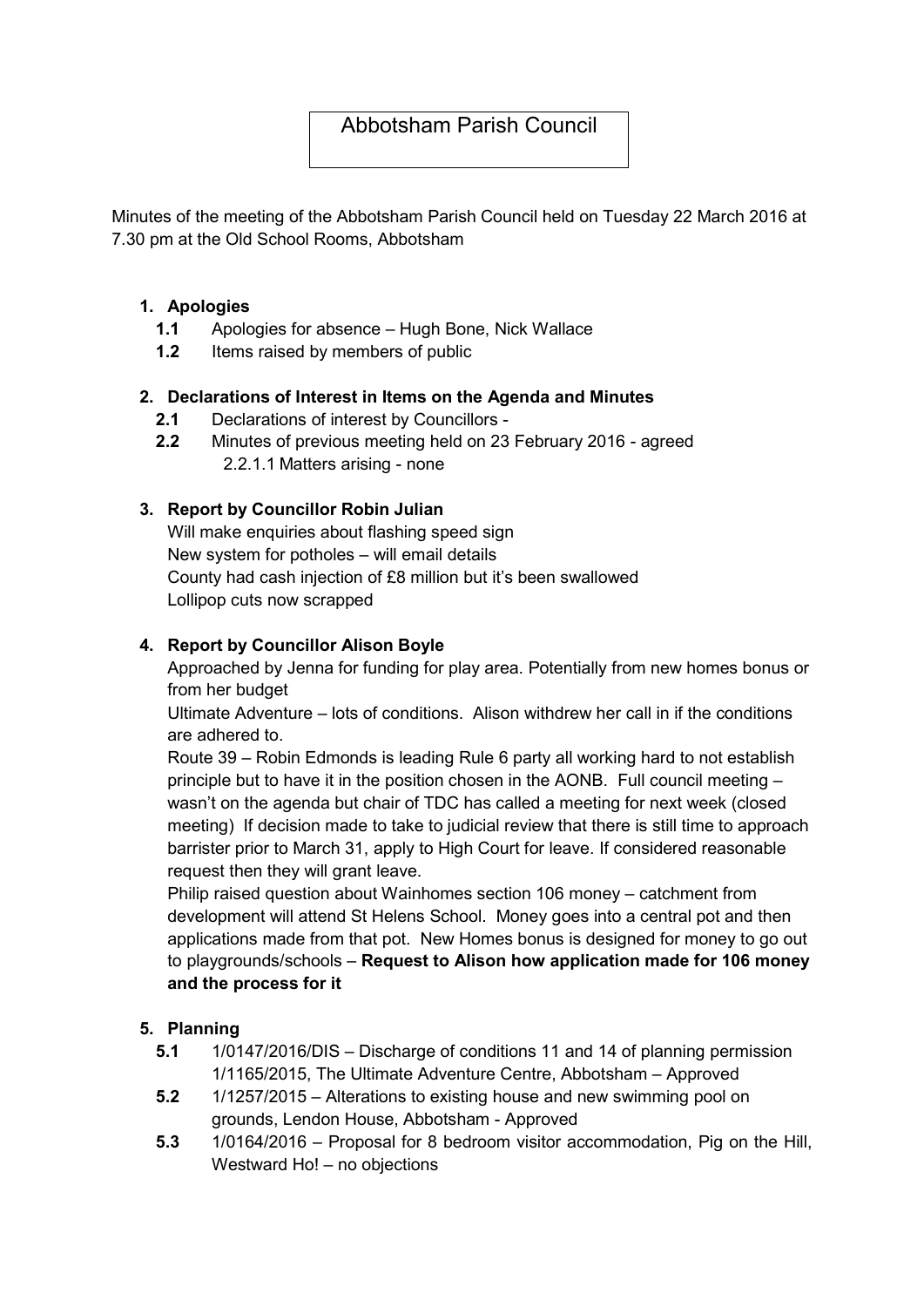# Abbotsham Parish Council

Minutes of the meeting of the Abbotsham Parish Council held on Tuesday 22 March 2016 at 7.30 pm at the Old School Rooms, Abbotsham

## 1. Apologies

- 1.1 Apologies for absence Hugh Bone, Nick Wallace
- 1.2 Items raised by members of public

## 2. Declarations of Interest in Items on the Agenda and Minutes

- 2.1 Declarations of interest by Councillors -
- 2.2 Minutes of previous meeting held on 23 February 2016 agreed 2.2.1.1 Matters arising - none

## 3. Report by Councillor Robin Julian

Will make enquiries about flashing speed sign New system for potholes – will email details County had cash injection of £8 million but it's been swallowed Lollipop cuts now scrapped

## 4. Report by Councillor Alison Boyle

Approached by Jenna for funding for play area. Potentially from new homes bonus or from her budget

Ultimate Adventure – lots of conditions. Alison withdrew her call in if the conditions are adhered to.

Route 39 – Robin Edmonds is leading Rule 6 party all working hard to not establish principle but to have it in the position chosen in the AONB. Full council meeting – wasn't on the agenda but chair of TDC has called a meeting for next week (closed meeting) If decision made to take to judicial review that there is still time to approach barrister prior to March 31, apply to High Court for leave. If considered reasonable request then they will grant leave.

Philip raised question about Wainhomes section 106 money – catchment from development will attend St Helens School. Money goes into a central pot and then applications made from that pot. New Homes bonus is designed for money to go out to playgrounds/schools – Request to Alison how application made for 106 money and the process for it

## 5. Planning

- 5.1 1/0147/2016/DIS Discharge of conditions 11 and 14 of planning permission 1/1165/2015, The Ultimate Adventure Centre, Abbotsham – Approved
- 5.2 1/1257/2015 Alterations to existing house and new swimming pool on grounds, Lendon House, Abbotsham - Approved
- 5.3 1/0164/2016 Proposal for 8 bedroom visitor accommodation, Pig on the Hill, Westward Ho! – no objections